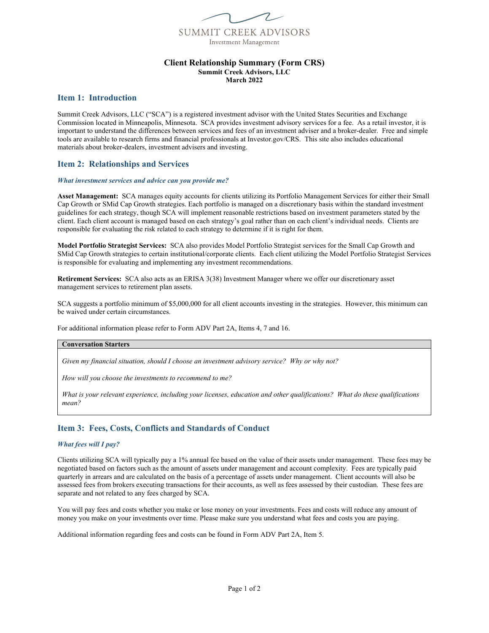

### **Client Relationship Summary (Form CRS) Summit Creek Advisors, LLC March 2022**

# **Item 1: Introduction**

Summit Creek Advisors, LLC ("SCA") is a registered investment advisor with the United States Securities and Exchange Commission located in Minneapolis, Minnesota. SCA provides investment advisory services for a fee. As a retail investor, it is important to understand the differences between services and fees of an investment adviser and a broker-dealer. Free and simple tools are available to research firms and financial professionals at Investor.gov/CRS. This site also includes educational materials about broker-dealers, investment advisers and investing.

# **Item 2: Relationships and Services**

#### *What investment services and advice can you provide me?*

**Asset Management:** SCA manages equity accounts for clients utilizing its Portfolio Management Services for either their Small Cap Growth or SMid Cap Growth strategies. Each portfolio is managed on a discretionary basis within the standard investment guidelines for each strategy, though SCA will implement reasonable restrictions based on investment parameters stated by the client. Each client account is managed based on each strategy's goal rather than on each client's individual needs. Clients are responsible for evaluating the risk related to each strategy to determine if it is right for them.

**Model Portfolio Strategist Services:** SCA also provides Model Portfolio Strategist services for the Small Cap Growth and SMid Cap Growth strategies to certain institutional/corporate clients. Each client utilizing the Model Portfolio Strategist Services is responsible for evaluating and implementing any investment recommendations.

**Retirement Services:** SCA also acts as an ERISA 3(38) Investment Manager where we offer our discretionary asset management services to retirement plan assets.

SCA suggests a portfolio minimum of \$5,000,000 for all client accounts investing in the strategies. However, this minimum can be waived under certain circumstances.

For additional information please refer to Form ADV Part 2A, Items 4, 7 and 16.

### **Conversation Starters**

*Given my financial situation, should I choose an investment advisory service? Why or why not?* 

*How will you choose the investments to recommend to me?* 

*What is your relevant experience, including your licenses, education and other qualifications? What do these qualifications mean?* 

# **Item 3: Fees, Costs, Conflicts and Standards of Conduct**

## *What fees will I pay?*

Clients utilizing SCA will typically pay a 1% annual fee based on the value of their assets under management. These fees may be negotiated based on factors such as the amount of assets under management and account complexity. Fees are typically paid quarterly in arrears and are calculated on the basis of a percentage of assets under management. Client accounts will also be assessed fees from brokers executing transactions for their accounts, as well as fees assessed by their custodian. These fees are separate and not related to any fees charged by SCA.

You will pay fees and costs whether you make or lose money on your investments. Fees and costs will reduce any amount of money you make on your investments over time. Please make sure you understand what fees and costs you are paying.

Additional information regarding fees and costs can be found in Form ADV Part 2A, Item 5.